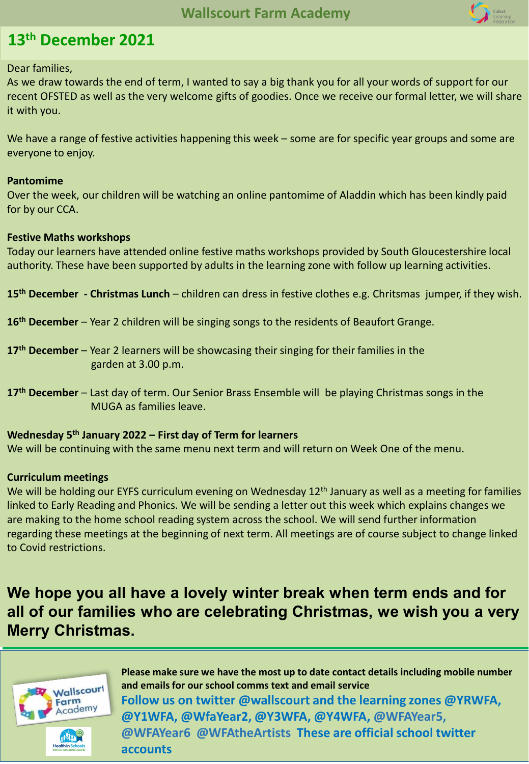

## **13th December 2021**

Dear families,

As we draw towards the end of term, I wanted to say a big thank you for all your words of support for our recent OFSTED as well as the very welcome gifts of goodies. Once we receive our formal letter, we will share it with you.

We have a range of festive activities happening this week – some are for specific year groups and some are everyone to enjoy.

#### **Pantomime**

Over the week, our children will be watching an online pantomime of Aladdin which has been kindly paid for by our CCA.

#### **Festive Maths workshops**

Today our learners have attended online festive maths workshops provided by South Gloucestershire local authority. These have been supported by adults in the learning zone with follow up learning activities.

**15th December - Christmas Lunch** – children can dress in festive clothes e.g. Chritsmas jumper, if they wish.

**16th December** – Year 2 children will be singing songs to the residents of Beaufort Grange.

- **17th December**  Year 2 learners will be showcasing their singing for their families in the garden at 3.00 p.m.
- **17th December**  Last day of term. Our Senior Brass Ensemble will be playing Christmas songs in the MUGA as families leave.

#### **Wednesday 5th January 2022 – First day of Term for learners**

We will be continuing with the same menu next term and will return on Week One of the menu.

#### **Curriculum meetings**

We will be holding our EYFS curriculum evening on Wednesday 12<sup>th</sup> January as well as a meeting for families linked to Early Reading and Phonics. We will be sending a letter out this week which explains changes we are making to the home school reading system across the school. We will send further information regarding these meetings at the beginning of next term. All meetings are of course subject to change linked to Covid restrictions.

**We hope you all have a lovely winter break when term ends and for all of our families who are celebrating Christmas, we wish you a very Merry Christmas.**



**Please make sure we have the most up to date contact details including mobile number and emails for our school comms text and email service Follow us on twitter @wallscourt and the learning zones @YRWFA, @Y1WFA, @WfaYear2, @Y3WFA, @Y4WFA, @WFAYear5, @WFAYear6 @WFAtheArtists These are official school twitter accounts**